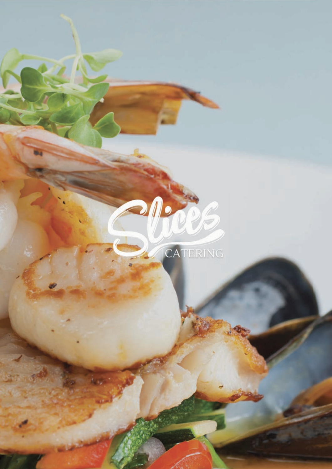